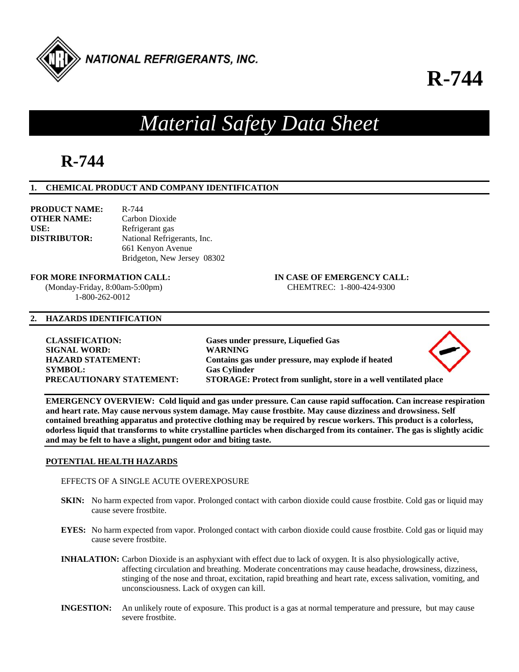

## **R-744**

# *Material Safety Data Sheet*

## **R-744**

## **1. CHEMICAL PRODUCT AND COMPANY IDENTIFICATION**

| <b>PRODUCT NAME:</b> | $R - 744$                   |
|----------------------|-----------------------------|
| <b>OTHER NAME:</b>   | Carbon Dioxide              |
| USE:                 | Refrigerant gas             |
| <b>DISTRIBUTOR:</b>  | National Refrigerants, Inc. |
|                      | 661 Kenyon Avenue           |
|                      | Bridgeton, New Jersey 08302 |

**FOR MORE INFORMATION CALL: IN CASE OF EMERGENCY CALL:** 

 (Monday-Friday, 8:00am-5:00pm) CHEMTREC: 1-800-424-9300 1-800-262-0012

## **2. HAZARDS IDENTIFICATION**

**CLASSIFICATION: Gases under pressure, Liquefied Gas SIGNAL WORD: WARNING SYMBOL: Gas Cylinder** 

**HAZARD STATEMENT: Contains gas under pressure, may explode if heated PRECAUTIONARY STATEMENT: STORAGE: Protect from sunlight, store in a well ventilated place** 



**EMERGENCY OVERVIEW: Cold liquid and gas under pressure. Can cause rapid suffocation. Can increase respiration and heart rate. May cause nervous system damage. May cause frostbite. May cause dizziness and drowsiness. Self contained breathing apparatus and protective clothing may be required by rescue workers. This product is a colorless, odorless liquid that transforms to white crystalline particles when discharged from its container. The gas is slightly acidic and may be felt to have a slight, pungent odor and biting taste.** 

## **POTENTIAL HEALTH HAZARDS**

EFFECTS OF A SINGLE ACUTE OVEREXPOSURE

- **SKIN:** No harm expected from vapor. Prolonged contact with carbon dioxide could cause frostbite. Cold gas or liquid may cause severe frostbite.
- **EYES:** No harm expected from vapor. Prolonged contact with carbon dioxide could cause frostbite. Cold gas or liquid may cause severe frostbite.
- **INHALATION:** Carbon Dioxide is an asphyxiant with effect due to lack of oxygen. It is also physiologically active, affecting circulation and breathing. Moderate concentrations may cause headache, drowsiness, dizziness, stinging of the nose and throat, excitation, rapid breathing and heart rate, excess salivation, vomiting, and unconsciousness. Lack of oxygen can kill.
- **INGESTION:** An unlikely route of exposure. This product is a gas at normal temperature and pressure, but may cause severe frostbite.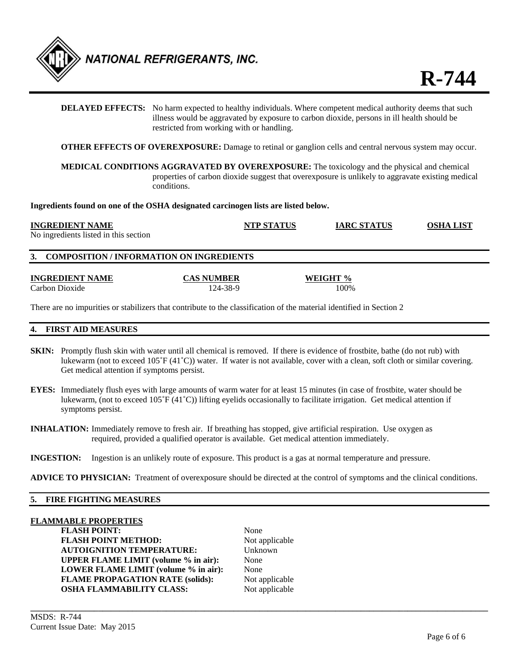

**DELAYED EFFECTS:** No harm expected to healthy individuals. Where competent medical authority deems that such illness would be aggravated by exposure to carbon dioxide, persons in ill health should be restricted from working with or handling.

**OTHER EFFECTS OF OVEREXPOSURE:** Damage to retinal or ganglion cells and central nervous system may occur.

**MEDICAL CONDITIONS AGGRAVATED BY OVEREXPOSURE:** The toxicology and the physical and chemical properties of carbon dioxide suggest that overexposure is unlikely to aggravate existing medical conditions.

**Ingredients found on one of the OSHA designated carcinogen lists are listed below.** 

#### **INGREDIENT NAME NTP STATUS IARC STATUS OSHA LIST**

No ingredients listed in this section

## **3. COMPOSITION / INFORMATION ON INGREDIENTS**

**INGREDIENT NAME CAS NUMBER WEIGHT %** 

Carbon Dioxide 124-38-9 100%

There are no impurities or stabilizers that contribute to the classification of the material identified in Section 2

## **4. FIRST AID MEASURES**

- **SKIN:** Promptly flush skin with water until all chemical is removed. If there is evidence of frostbite, bathe (do not rub) with lukewarm (not to exceed 105˚F (41˚C)) water. If water is not available, cover with a clean, soft cloth or similar covering. Get medical attention if symptoms persist.
- **EYES:** Immediately flush eyes with large amounts of warm water for at least 15 minutes (in case of frostbite, water should be lukewarm, (not to exceed 105˚F (41˚C)) lifting eyelids occasionally to facilitate irrigation. Get medical attention if symptoms persist.
- **INHALATION:** Immediately remove to fresh air. If breathing has stopped, give artificial respiration. Use oxygen as required, provided a qualified operator is available. Get medical attention immediately.
- **INGESTION:** Ingestion is an unlikely route of exposure. This product is a gas at normal temperature and pressure.

**ADVICE TO PHYSICIAN:** Treatment of overexposure should be directed at the control of symptoms and the clinical conditions.

## **5. FIRE FIGHTING MEASURES**

#### **FLAMMABLE PROPERTIES**

FLASH POINT: None **FLASH POINT METHOD:** Not applicable **AUTOIGNITION TEMPERATURE:** Unknown **UPPER FLAME LIMIT (volume % in air):** None **LOWER FLAME LIMIT (volume % in air):** None **FLAME PROPAGATION RATE (solids):** Not applicable **OSHA FLAMMABILITY CLASS:** Not applicable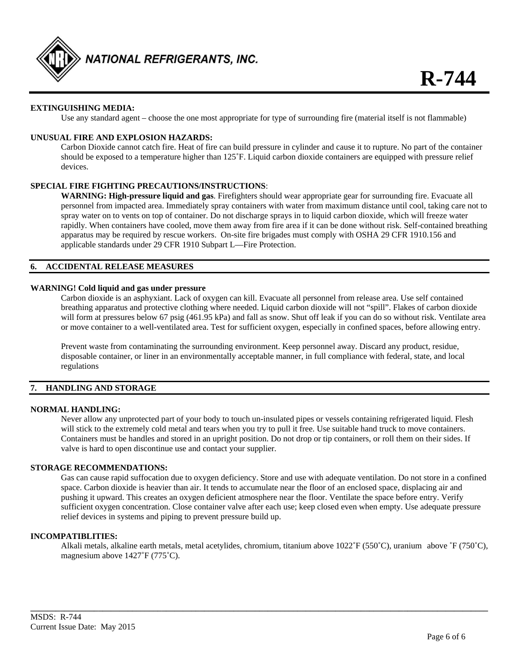

## **EXTINGUISHING MEDIA:**

Use any standard agent – choose the one most appropriate for type of surrounding fire (material itself is not flammable)

## **UNUSUAL FIRE AND EXPLOSION HAZARDS:**

Carbon Dioxide cannot catch fire. Heat of fire can build pressure in cylinder and cause it to rupture. No part of the container should be exposed to a temperature higher than 125˚F. Liquid carbon dioxide containers are equipped with pressure relief devices.

## **SPECIAL FIRE FIGHTING PRECAUTIONS/INSTRUCTIONS**:

**WARNING: High-pressure liquid and gas**. Firefighters should wear appropriate gear for surrounding fire. Evacuate all personnel from impacted area. Immediately spray containers with water from maximum distance until cool, taking care not to spray water on to vents on top of container. Do not discharge sprays in to liquid carbon dioxide, which will freeze water rapidly. When containers have cooled, move them away from fire area if it can be done without risk. Self-contained breathing apparatus may be required by rescue workers. On-site fire brigades must comply with OSHA 29 CFR 1910.156 and applicable standards under 29 CFR 1910 Subpart L—Fire Protection.

## **6. ACCIDENTAL RELEASE MEASURES**

#### **WARNING! Cold liquid and gas under pressure**

Carbon dioxide is an asphyxiant. Lack of oxygen can kill. Evacuate all personnel from release area. Use self contained breathing apparatus and protective clothing where needed. Liquid carbon dioxide will not "spill". Flakes of carbon dioxide will form at pressures below 67 psig (461.95 kPa) and fall as snow. Shut off leak if you can do so without risk. Ventilate area or move container to a well-ventilated area. Test for sufficient oxygen, especially in confined spaces, before allowing entry.

Prevent waste from contaminating the surrounding environment. Keep personnel away. Discard any product, residue, disposable container, or liner in an environmentally acceptable manner, in full compliance with federal, state, and local regulations

## **7. HANDLING AND STORAGE**

#### **NORMAL HANDLING:**

Never allow any unprotected part of your body to touch un-insulated pipes or vessels containing refrigerated liquid. Flesh will stick to the extremely cold metal and tears when you try to pull it free. Use suitable hand truck to move containers. Containers must be handles and stored in an upright position. Do not drop or tip containers, or roll them on their sides. If valve is hard to open discontinue use and contact your supplier.

#### **STORAGE RECOMMENDATIONS:**

Gas can cause rapid suffocation due to oxygen deficiency. Store and use with adequate ventilation. Do not store in a confined space. Carbon dioxide is heavier than air. It tends to accumulate near the floor of an enclosed space, displacing air and pushing it upward. This creates an oxygen deficient atmosphere near the floor. Ventilate the space before entry. Verify sufficient oxygen concentration. Close container valve after each use; keep closed even when empty. Use adequate pressure relief devices in systems and piping to prevent pressure build up.

#### **INCOMPATIBLITIES:**

Alkali metals, alkaline earth metals, metal acetylides, chromium, titanium above  $1022\text{°F}$  (550°C), uranium above  $\text{°F}$  (750°C), magnesium above 1427˚F (775˚C).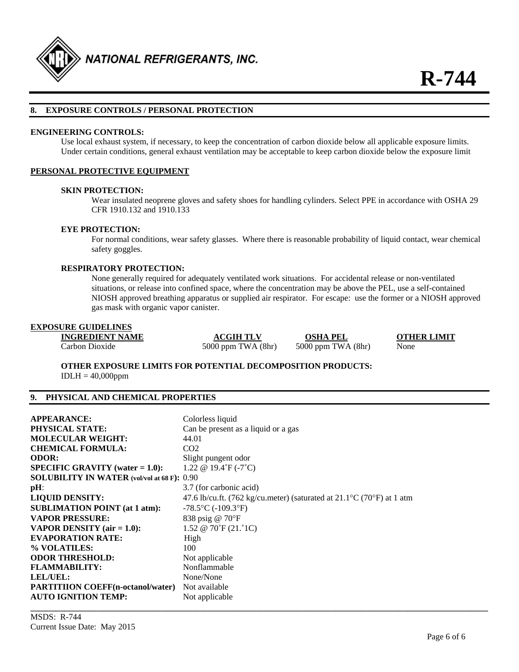

#### **8. EXPOSURE CONTROLS / PERSONAL PROTECTION**

#### **ENGINEERING CONTROLS:**

Use local exhaust system, if necessary, to keep the concentration of carbon dioxide below all applicable exposure limits. Under certain conditions, general exhaust ventilation may be acceptable to keep carbon dioxide below the exposure limit

#### **PERSONAL PROTECTIVE EQUIPMENT**

#### **SKIN PROTECTION:**

Wear insulated neoprene gloves and safety shoes for handling cylinders. Select PPE in accordance with OSHA 29 CFR 1910.132 and 1910.133

#### **EYE PROTECTION:**

For normal conditions, wear safety glasses. Where there is reasonable probability of liquid contact, wear chemical safety goggles.

#### **RESPIRATORY PROTECTION:**

None generally required for adequately ventilated work situations. For accidental release or non-ventilated situations, or release into confined space, where the concentration may be above the PEL, use a self-contained NIOSH approved breathing apparatus or supplied air respirator. For escape: use the former or a NIOSH approved gas mask with organic vapor canister.

## **EXPOSURE GUIDELINES**

**INGREDIENT NAME ACGIH TLV OSHA PEL OTHER LIMIT** Carbon Dioxide 5000 ppm TWA (8hr) 5000 ppm TWA (8hr) None

**OTHER EXPOSURE LIMITS FOR POTENTIAL DECOMPOSITION PRODUCTS:**   $IDLH = 40,000$ ppm

## **9. PHYSICAL AND CHEMICAL PROPERTIES**

| <b>APPEARANCE:</b>                                 | Colorless liquid                                                                           |
|----------------------------------------------------|--------------------------------------------------------------------------------------------|
| <b>PHYSICAL STATE:</b>                             | Can be present as a liquid or a gas                                                        |
| <b>MOLECULAR WEIGHT:</b>                           | 44.01                                                                                      |
| <b>CHEMICAL FORMULA:</b>                           | CO <sub>2</sub>                                                                            |
| <b>ODOR:</b>                                       | Slight pungent odor                                                                        |
| <b>SPECIFIC GRAVITY</b> (water $= 1.0$ ):          | 1.22 @ 19.4 $\degree$ F (-7 $\degree$ C)                                                   |
| <b>SOLUBILITY IN WATER</b> (vol/vol at 68 F): 0.90 |                                                                                            |
| $pH$ :                                             | 3.7 (for carbonic acid)                                                                    |
| <b>LIQUID DENSITY:</b>                             | 47.6 lb/cu.ft. (762 kg/cu.meter) (saturated at $21.1^{\circ}$ C (70 $^{\circ}$ F) at 1 atm |
| <b>SUBLIMATION POINT (at 1 atm):</b>               | $-78.5$ °C ( $-109.3$ °F)                                                                  |
| <b>VAPOR PRESSURE:</b>                             | 838 psig @ 70°F                                                                            |
| VAPOR DENSITY $(air = 1.0)$ :                      | 1.52 @ $70^{\circ}F(21.^{\circ}1C)$                                                        |
| <b>EVAPORATION RATE:</b>                           | High                                                                                       |
| % VOLATILES:                                       | 100                                                                                        |
| <b>ODOR THRESHOLD:</b>                             | Not applicable                                                                             |
| <b>FLAMMABILITY:</b>                               | Nonflammable                                                                               |
| <b>LEL/UEL:</b>                                    | None/None                                                                                  |
| <b>PARTITIION COEFF</b> (n-octanol/water)          | Not available                                                                              |
| <b>AUTO IGNITION TEMP:</b>                         | Not applicable                                                                             |
|                                                    |                                                                                            |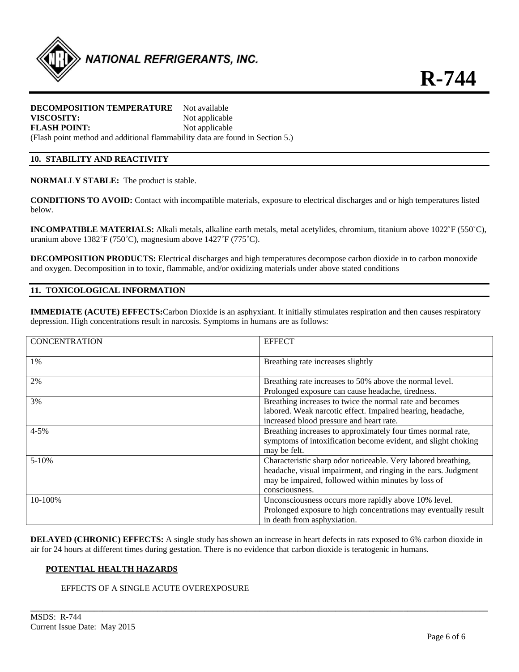

#### **DECOMPOSITION TEMPERATURE** Not available **VISCOSITY:** Not applicable

**FLASH POINT:** Not applicable (Flash point method and additional flammability data are found in Section 5.)

## **10. STABILITY AND REACTIVITY**

**NORMALLY STABLE:** The product is stable.

**CONDITIONS TO AVOID:** Contact with incompatible materials, exposure to electrical discharges and or high temperatures listed below.

**INCOMPATIBLE MATERIALS:** Alkali metals, alkaline earth metals, metal acetylides, chromium, titanium above 1022˚F (550˚C), uranium above 1382˚F (750˚C), magnesium above 1427˚F (775˚C).

**DECOMPOSITION PRODUCTS:** Electrical discharges and high temperatures decompose carbon dioxide in to carbon monoxide and oxygen. Decomposition in to toxic, flammable, and/or oxidizing materials under above stated conditions

## **11. TOXICOLOGICAL INFORMATION**

**IMMEDIATE (ACUTE) EFFECTS:**Carbon Dioxide is an asphyxiant. It initially stimulates respiration and then causes respiratory depression. High concentrations result in narcosis. Symptoms in humans are as follows:

| <b>CONCENTRATION</b> | <b>EFFECT</b>                                                   |
|----------------------|-----------------------------------------------------------------|
| 1%                   | Breathing rate increases slightly                               |
| 2%                   | Breathing rate increases to 50% above the normal level.         |
|                      | Prolonged exposure can cause headache, tiredness.               |
| 3%                   | Breathing increases to twice the normal rate and becomes        |
|                      | labored. Weak narcotic effect. Impaired hearing, headache,      |
|                      | increased blood pressure and heart rate.                        |
| $4 - 5%$             | Breathing increases to approximately four times normal rate,    |
|                      | symptoms of intoxification become evident, and slight choking   |
|                      | may be felt.                                                    |
| $5 - 10%$            | Characteristic sharp odor noticeable. Very labored breathing,   |
|                      | headache, visual impairment, and ringing in the ears. Judgment  |
|                      | may be impaired, followed within minutes by loss of             |
|                      | consciousness.                                                  |
| 10-100%              | Unconsciousness occurs more rapidly above 10% level.            |
|                      | Prolonged exposure to high concentrations may eventually result |
|                      | in death from asphyxiation.                                     |

**DELAYED (CHRONIC) EFFECTS:** A single study has shown an increase in heart defects in rats exposed to 6% carbon dioxide in air for 24 hours at different times during gestation. There is no evidence that carbon dioxide is teratogenic in humans.

## **POTENTIAL HEALTH HAZARDS**

## EFFECTS OF A SINGLE ACUTE OVEREXPOSURE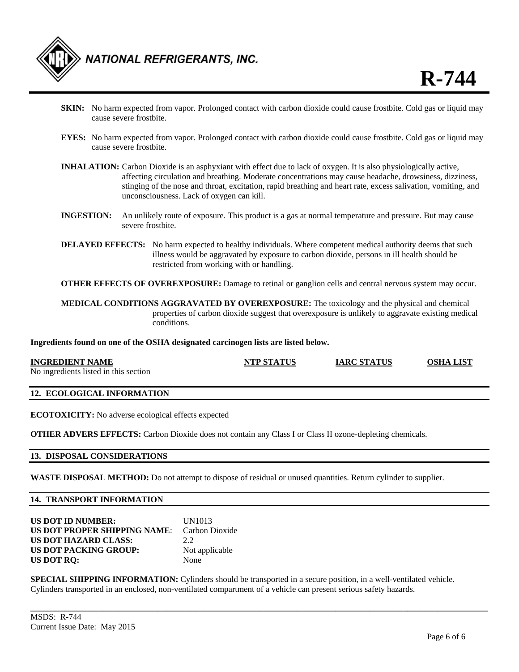

- **SKIN:** No harm expected from vapor. Prolonged contact with carbon dioxide could cause frostbite. Cold gas or liquid may cause severe frostbite.
- **EYES:** No harm expected from vapor. Prolonged contact with carbon dioxide could cause frostbite. Cold gas or liquid may cause severe frostbite.
- **INHALATION:** Carbon Dioxide is an asphyxiant with effect due to lack of oxygen. It is also physiologically active, affecting circulation and breathing. Moderate concentrations may cause headache, drowsiness, dizziness, stinging of the nose and throat, excitation, rapid breathing and heart rate, excess salivation, vomiting, and unconsciousness. Lack of oxygen can kill.
- **INGESTION:** An unlikely route of exposure. This product is a gas at normal temperature and pressure. But may cause severe frostbite.
- **DELAYED EFFECTS:** No harm expected to healthy individuals. Where competent medical authority deems that such illness would be aggravated by exposure to carbon dioxide, persons in ill health should be restricted from working with or handling.

**OTHER EFFECTS OF OVEREXPOSURE:** Damage to retinal or ganglion cells and central nervous system may occur.

**MEDICAL CONDITIONS AGGRAVATED BY OVEREXPOSURE:** The toxicology and the physical and chemical properties of carbon dioxide suggest that overexposure is unlikely to aggravate existing medical conditions.

**Ingredients found on one of the OSHA designated carcinogen lists are listed below.** 

| <b>INGREDIENT NAME</b>                | <b>NTP STATUS</b> | <b>IARC STATUS</b> | <b>OSHA LIST</b> |
|---------------------------------------|-------------------|--------------------|------------------|
| No ingredients listed in this section |                   |                    |                  |

## **12. ECOLOGICAL INFORMATION**

**ECOTOXICITY:** No adverse ecological effects expected

**OTHER ADVERS EFFECTS:** Carbon Dioxide does not contain any Class I or Class II ozone-depleting chemicals.

#### **13. DISPOSAL CONSIDERATIONS**

**WASTE DISPOSAL METHOD:** Do not attempt to dispose of residual or unused quantities. Return cylinder to supplier.

## **14. TRANSPORT INFORMATION**

| <b>US DOT ID NUMBER:</b>                           | <b>UN1013</b>  |
|----------------------------------------------------|----------------|
| <b>US DOT PROPER SHIPPING NAME:</b> Carbon Dioxide |                |
| <b>US DOT HAZARD CLASS:</b>                        | 2.2            |
| <b>US DOT PACKING GROUP:</b>                       | Not applicable |
| US DOT RQ:                                         | None           |

**SPECIAL SHIPPING INFORMATION:** Cylinders should be transported in a secure position, in a well-ventilated vehicle. Cylinders transported in an enclosed, non-ventilated compartment of a vehicle can present serious safety hazards.